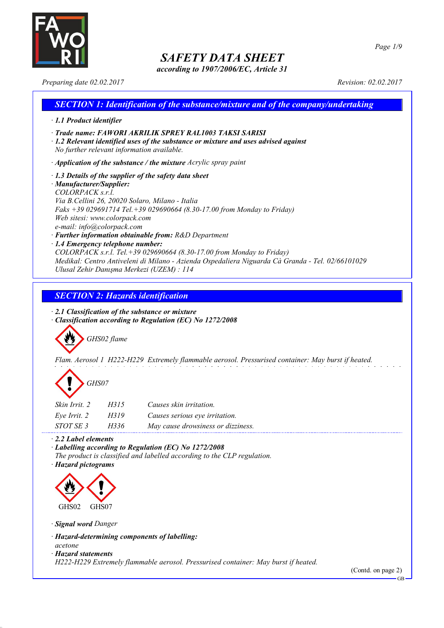

*according to 1907/2006/EC, Article 31*

*Page 1/9*

*Preparing date 02.02.2017 Revision: 02.02.2017*

## *SECTION 1: Identification of the substance/mixture and of the company/undertaking · 1.1 Product identifier · Trade name: FAWORI AKRILIK SPREY RAL1003 TAKSI SARISI · 1.2 Relevant identified uses of the substance or mixture and uses advised against No further relevant information available. · Application of the substance / the mixture Acrylic spray paint · 1.3 Details of the supplier of the safety data sheet · Manufacturer/Supplier: COLORPACK s.r.l. Via B.Cellini 26, 20020 Solaro, Milano - Italia Faks +39 029691714 Tel.+39 029690664 (8.30-17.00 from Monday to Friday) Web sitesi: www.colorpack.com e-mail: info@colorpack.com · Further information obtainable from: R&D Department · 1.4 Emergency telephone number: COLORPACK s.r.l. Tel.+39 029690664 (8.30-17.00 from Monday to Friday) Medikal: Centro Antiveleni di Milano - Azienda Ospedaliera Niguarda Cà Granda - Tel. 02/66101029 Ulusal Zehir Danışma Merkezi (UZEM) : 114*

## *SECTION 2: Hazards identification*

*· 2.1 Classification of the substance or mixture · Classification according to Regulation (EC) No 1272/2008*

*GHS02 flame*

*Flam. Aerosol 1 H222-H229 Extremely flammable aerosol. Pressurised container: May burst if heated.*

*GHS07*

| Skin Irrit. 2    | H315 | Causes skin irritation.            |
|------------------|------|------------------------------------|
| Eve Irrit. 2     | H319 | Causes serious eye irritation.     |
| <i>STOT SE 3</i> | H336 | May cause drowsiness or dizziness. |

### *· 2.2 Label elements*

*· Labelling according to Regulation (EC) No 1272/2008*

*The product is classified and labelled according to the CLP regulation.*

*· Hazard pictograms*



*· Signal word Danger*

*· Hazard-determining components of labelling:*

*acetone*

*· Hazard statements*

*H222-H229 Extremely flammable aerosol. Pressurised container: May burst if heated.*

(Contd. on page 2)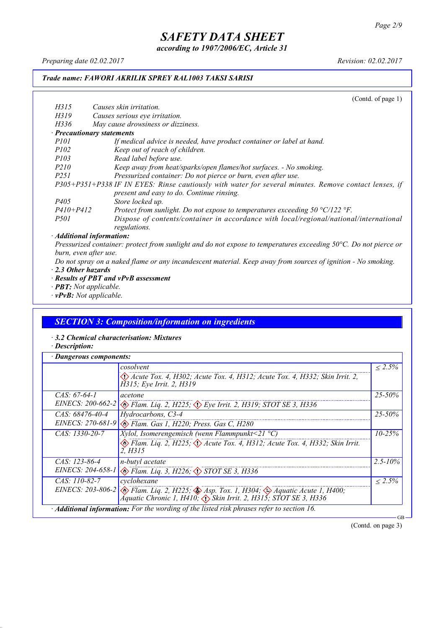*according to 1907/2006/EC, Article 31*

*Preparing date 02.02.2017 Revision: 02.02.2017*

### *Trade name: FAWORI AKRILIK SPREY RAL1003 TAKSI SARISI*

(Contd. of page 1) *H315 Causes skin irritation. H319 Causes serious eye irritation. H336 May cause drowsiness or dizziness. · Precautionary statements P101 If medical advice is needed, have product container or label at hand. P102 Keep out of reach of children. P103 Read label before use. P210 Keep away from heat/sparks/open flames/hot surfaces. - No smoking. P251 Pressurized container: Do not pierce or burn, even after use. P305+P351+P338 IF IN EYES: Rinse cautiously with water for several minutes. Remove contact lenses, if present and easy to do. Continue rinsing. P405 Store locked up. P410+P412 Protect from sunlight. Do not expose to temperatures exceeding 50 °C/122 °F. P501 Dispose of contents/container in accordance with local/regional/national/international regulations. · Additional information:*

Pressurized container: protect from sunlight and do not expose to temperatures exceeding 50°C. Do not pierce or *burn, even after use.*

- Do not spray on a naked flame or any incandescent material. Keep away from sources of ignition No smoking. *· 2.3 Other hazards*
- *· Results of PBT and vPvB assessment*
- *· PBT: Not applicable.*
- *· vPvB: Not applicable.*

### *SECTION 3: Composition/information on ingredients*

*· 3.2 Chemical characterisation: Mixtures*

*· Description:*

| · Dangerous components: |                                                                                                                                                                                                        |              |  |
|-------------------------|--------------------------------------------------------------------------------------------------------------------------------------------------------------------------------------------------------|--------------|--|
|                         | cosolvent                                                                                                                                                                                              | $\leq 2.5\%$ |  |
|                         | Acute Tox. 4, H302; Acute Tox. 4, H312; Acute Tox. 4, H332; Skin Irrit. 2,<br>H315; Eye Irrit. 2, H319                                                                                                 |              |  |
| $CAS. 67-64-1$          | acetone                                                                                                                                                                                                | $25 - 50\%$  |  |
|                         | EINECS: 200-662-2 & Flam. Liq. 2, H225; $\Diamond$ Eye Irrit. 2, H319; STOT SE 3, H336                                                                                                                 |              |  |
| CAS: 68476-40-4         | Hydrocarbons, C3-4                                                                                                                                                                                     | $25 - 50\%$  |  |
|                         | EINECS: 270-681-9 & Flam. Gas 1, H220; Press. Gas C, H280                                                                                                                                              |              |  |
| $CAS: 1330-20-7$        | <i>Xylol, Isomerengemisch (wenn Flammpunkt</i> <21 $^{\circ}$ C)                                                                                                                                       | $10 - 25\%$  |  |
|                         | $\otimes$ Flam. Lig. 2, H225; $\otimes$ Acute Tox. 4, H312; Acute Tox. 4, H332; Skin Irrit.<br>2. H315                                                                                                 |              |  |
| $CAS: 123-86-4$         | n-butyl acetate                                                                                                                                                                                        | $2.5 - 10\%$ |  |
|                         | EINECS: 204-658-1 & Flam. Liq. 3, H226; STOT SE 3, H336                                                                                                                                                |              |  |
| $CAS: 110-82-7$         | cyclohexane                                                                                                                                                                                            | $< 2.5\%$    |  |
|                         | EINECS: 203-806-2 $\otimes$ Flam. Liq. 2, H225; $\otimes$ Asp. Tox. 1, H304; $\otimes$ Aquatic Acute 1, H400;<br>Aquatic Chronic 1, H410; $\langle \cdot \rangle$ Skin Irrit. 2, H315; STOT SE 3, H336 |              |  |
|                         | $\cdot$ <b>Additional information:</b> For the wording of the listed risk phrases refer to section 16.                                                                                                 |              |  |

(Contd. on page 3)

GB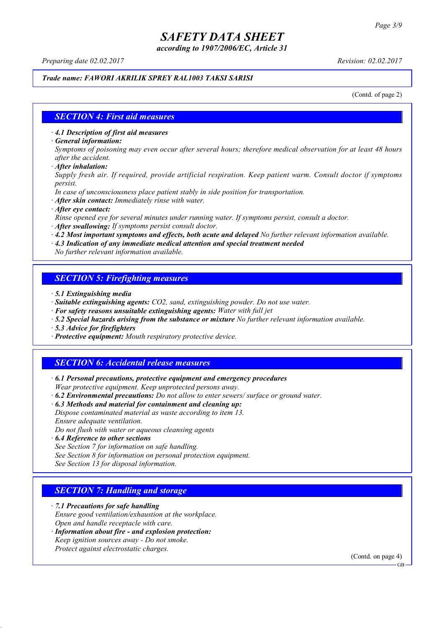*according to 1907/2006/EC, Article 31*

*Preparing date 02.02.2017 Revision: 02.02.2017*

### *Trade name: FAWORI AKRILIK SPREY RAL1003 TAKSI SARISI*

(Contd. of page 2)

#### *SECTION 4: First aid measures*

*· 4.1 Description of first aid measures*

*· General information:*

Symptoms of poisoning may even occur after several hours; therefore medical observation for at least 48 hours *after the accident.*

*· After inhalation:*

*Supply fresh air. If required, provide artificial respiration. Keep patient warm. Consult doctor if symptoms persist.*

*In case of unconsciousness place patient stably in side position for transportation.*

- *· After skin contact: Immediately rinse with water.*
- *· After eye contact:*

*Rinse opened eye for several minutes under running water. If symptoms persist, consult a doctor.*

*· After swallowing: If symptoms persist consult doctor.*

*· 4.2 Most important symptoms and effects, both acute and delayed No further relevant information available.*

*· 4.3 Indication of any immediate medical attention and special treatment needed*

*No further relevant information available.*

### *SECTION 5: Firefighting measures*

- *· 5.1 Extinguishing media*
- *· Suitable extinguishing agents: CO2, sand, extinguishing powder. Do not use water.*
- *· For safety reasons unsuitable extinguishing agents: Water with full jet*
- *· 5.2 Special hazards arising from the substance or mixture No further relevant information available.*
- *· 5.3 Advice for firefighters*
- *· Protective equipment: Mouth respiratory protective device.*

### *SECTION 6: Accidental release measures*

*· 6.1 Personal precautions, protective equipment and emergency procedures Wear protective equipment. Keep unprotected persons away.*

*· 6.2 Environmental precautions: Do not allow to enter sewers/ surface or ground water.*

*· 6.3 Methods and material for containment and cleaning up:*

*Dispose contaminated material as waste according to item 13. Ensure adequate ventilation.*

*Do not flush with water or aqueous cleansing agents*

- *· 6.4 Reference to other sections*
- *See Section 7 for information on safe handling.*

*See Section 8 for information on personal protection equipment.*

*See Section 13 for disposal information.*

### *SECTION 7: Handling and storage*

*· 7.1 Precautions for safe handling*

*Ensure good ventilation/exhaustion at the workplace.*

*Open and handle receptacle with care.*

*· Information about fire - and explosion protection: Keep ignition sources away - Do not smoke.*

*Protect against electrostatic charges.*

(Contd. on page 4)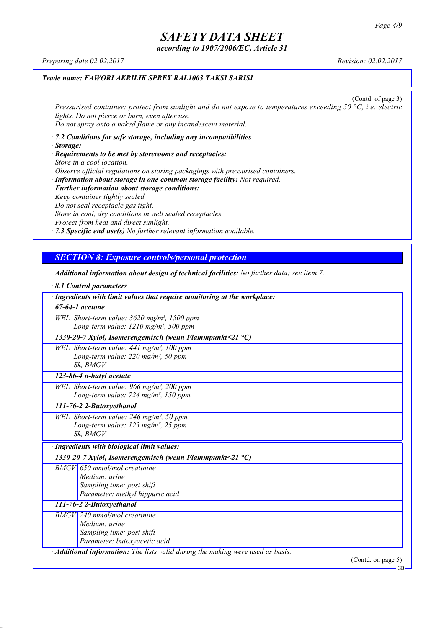*according to 1907/2006/EC, Article 31*

*Preparing date 02.02.2017 Revision: 02.02.2017*

### *Trade name: FAWORI AKRILIK SPREY RAL1003 TAKSI SARISI*

(Contd. of page 3) *Pressurised container: protect from sunlight and do not expose to temperatures exceeding 50 °C, i.e. electric lights. Do not pierce or burn, even after use. Do not spray onto a naked flame or any incandescent material.*

- *· 7.2 Conditions for safe storage, including any incompatibilities · Storage:*
- *· Requirements to be met by storerooms and receptacles: Store in a cool location. Observe official regulations on storing packagings with pressurised containers.*
- *· Information about storage in one common storage facility: Not required. · Further information about storage conditions: Keep container tightly sealed. Do not seal receptacle gas tight. Store in cool, dry conditions in well sealed receptacles. Protect from heat and direct sunlight.*

*· 7.3 Specific end use(s) No further relevant information available.*

### *SECTION 8: Exposure controls/personal protection*

- *· Additional information about design of technical facilities: No further data; see item 7.*
- *· 8.1 Control parameters · Ingredients with limit values that require monitoring at the workplace: 67-64-1 acetone WEL Short-term value: 3620 mg/m³, 1500 ppm Long-term value: 1210 mg/m³, 500 ppm 1330-20-7 Xylol, Isomerengemisch (wenn Flammpunkt<21 °C) WEL Short-term value: 441 mg/m³, 100 ppm Long-term value: 220 mg/m³, 50 ppm Sk, BMGV 123-86-4 n-butyl acetate WEL Short-term value: 966 mg/m³, 200 ppm Long-term value: 724 mg/m³, 150 ppm 111-76-2 2-Butoxyethanol WEL Short-term value: 246 mg/m³, 50 ppm Long-term value: 123 mg/m³, 25 ppm Sk, BMGV · Ingredients with biological limit values: 1330-20-7 Xylol, Isomerengemisch (wenn Flammpunkt<21 °C) BMGV 650 mmol/mol creatinine Medium: urine Sampling time: post shift Parameter: methyl hippuric acid 111-76-2 2-Butoxyethanol BMGV 240 mmol/mol creatinine Medium: urine Sampling time: post shift Parameter: butoxyacetic acid · Additional information: The lists valid during the making were used as basis.* (Contd. on page 5)

GB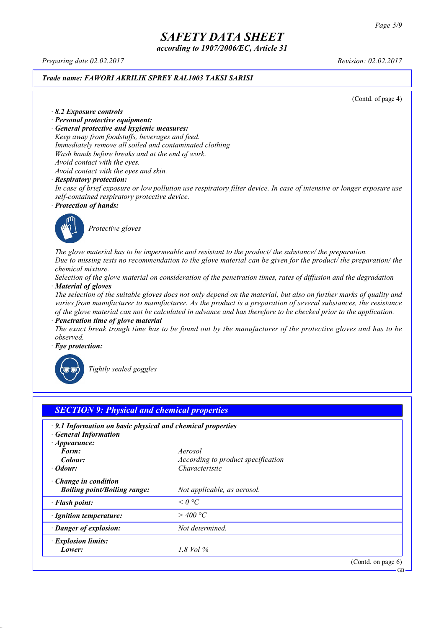*according to 1907/2006/EC, Article 31*

*Preparing date 02.02.2017 Revision: 02.02.2017*

#### *Trade name: FAWORI AKRILIK SPREY RAL1003 TAKSI SARISI*

(Contd. of page 4)

*· 8.2 Exposure controls*

- *· Personal protective equipment:*
- *· General protective and hygienic measures:*

*Keep away from foodstuffs, beverages and feed. Immediately remove all soiled and contaminated clothing Wash hands before breaks and at the end of work. Avoid contact with the eyes.*

*Avoid contact with the eyes and skin.*

#### *· Respiratory protection:*

In case of brief exposure or low pollution use respiratory filter device. In case of intensive or longer exposure use *self-contained respiratory protective device.*

*· Protection of hands:*



*Protective gloves*

*The glove material has to be impermeable and resistant to the product/ the substance/ the preparation.* Due to missing tests no recommendation to the glove material can be given for the product/ the preparation/ the *chemical mixture.*

Selection of the glove material on consideration of the penetration times, rates of diffusion and the degradation *· Material of gloves*

The selection of the suitable gloves does not only depend on the material, but also on further marks of quality and *varies from manufacturer to manufacturer. As the product is a preparation of several substances, the resistance* of the glove material can not be calculated in advance and has therefore to be checked prior to the application.

*· Penetration time of glove material*

The exact break trough time has to be found out by the manufacturer of the protective gloves and has to be *observed.*

*· Eye protection:*



*Tightly sealed goggles*

| $\cdot$ 9.1 Information on basic physical and chemical properties<br><b>General Information</b><br>$\cdot$ Appearance: |                                    |  |
|------------------------------------------------------------------------------------------------------------------------|------------------------------------|--|
| Form:                                                                                                                  | Aerosol                            |  |
| Colour:                                                                                                                | According to product specification |  |
| $\cdot$ Odour:                                                                                                         | Characteristic                     |  |
| $\cdot$ Change in condition<br><b>Boiling point/Boiling range:</b>                                                     | Not applicable, as aerosol.        |  |
| · Flash point:                                                                                                         | $\leq$ 0 °C                        |  |
| · Ignition temperature:                                                                                                | $>$ 400 °C                         |  |
| · Danger of explosion:                                                                                                 | Not determined.                    |  |
| · Explosion limits:                                                                                                    |                                    |  |
| Lower:                                                                                                                 | 1.8 Vol $\%$                       |  |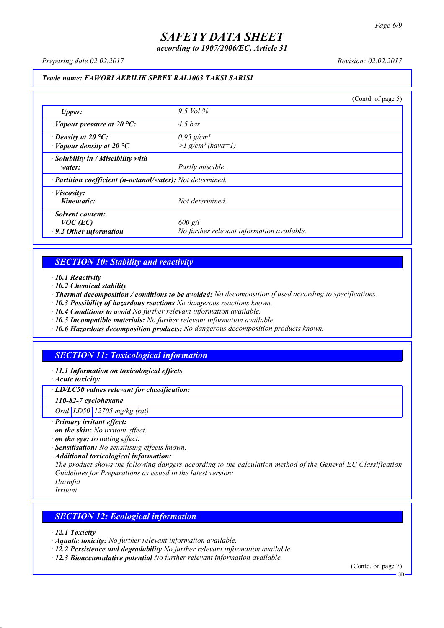*according to 1907/2006/EC, Article 31*

*Preparing date 02.02.2017 Revision: 02.02.2017*

### *Trade name: FAWORI AKRILIK SPREY RAL1003 TAKSI SARISI*

|                                                                   |                                                             | (Contd. of page 5) |
|-------------------------------------------------------------------|-------------------------------------------------------------|--------------------|
| Upper:                                                            | 9.5 Vol $\%$                                                |                    |
| $\cdot$ Vapour pressure at 20 °C:                                 | $4.5\,bar$                                                  |                    |
| $\cdot$ Density at 20 °C:<br>$\cdot$ Vapour density at 20 °C      | $0.95$ g/cm <sup>3</sup><br>$>l$ g/cm <sup>3</sup> (hava=1) |                    |
| · Solubility in / Miscibility with<br>water:                      | Partly miscible.                                            |                    |
| · Partition coefficient (n-octanol/water): Not determined.        |                                                             |                    |
| $\cdot$ <i>Viscosity:</i><br>Kinematic:                           | Not determined.                                             |                    |
| · Solvent content:<br>$VOC$ (EC)<br>$\cdot$ 9.2 Other information | $600$ g/l<br>No further relevant information available.     |                    |

### *SECTION 10: Stability and reactivity*

*· 10.1 Reactivity*

- *· 10.2 Chemical stability*
- *· Thermal decomposition / conditions to be avoided: No decomposition if used according to specifications.*
- *· 10.3 Possibility of hazardous reactions No dangerous reactions known.*
- *· 10.4 Conditions to avoid No further relevant information available.*
- *· 10.5 Incompatible materials: No further relevant information available.*
- *· 10.6 Hazardous decomposition products: No dangerous decomposition products known.*

## *SECTION 11: Toxicological information*

*· 11.1 Information on toxicological effects*

*· Acute toxicity:*

*· LD/LC50 values relevant for classification:*

*110-82-7 cyclohexane*

*Oral LD50 12705 mg/kg (rat)*

- *· Primary irritant effect:*
- *· on the skin: No irritant effect.*
- *· on the eye: Irritating effect.*
- *· Sensitisation: No sensitising effects known.*
- *· Additional toxicological information:*

*The product shows the following dangers according to the calculation method of the General EU Classification Guidelines for Preparations as issued in the latest version:*

*Harmful Irritant*

### *SECTION 12: Ecological information*

*· 12.1 Toxicity*

- *· Aquatic toxicity: No further relevant information available.*
- *· 12.2 Persistence and degradability No further relevant information available.*
- *· 12.3 Bioaccumulative potential No further relevant information available.*

(Contd. on page 7) **GB**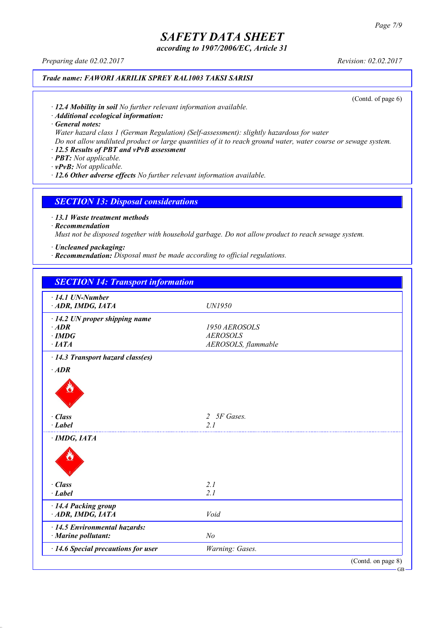*according to 1907/2006/EC, Article 31*

*Preparing date 02.02.2017 Revision: 02.02.2017*

### *Trade name: FAWORI AKRILIK SPREY RAL1003 TAKSI SARISI*

(Contd. of page 6)

*· 12.4 Mobility in soil No further relevant information available.*

*· Additional ecological information:*

*· General notes:*

*Water hazard class 1 (German Regulation) (Self-assessment): slightly hazardous for water*

Do not allow undiluted product or large quantities of it to reach ground water, water course or sewage system.

### *· 12.5 Results of PBT and vPvB assessment*

*· PBT: Not applicable.*

*· vPvB: Not applicable.*

*· 12.6 Other adverse effects No further relevant information available.*

#### *SECTION 13: Disposal considerations*

*· 13.1 Waste treatment methods*

*· Recommendation*

*Must not be disposed together with household garbage. Do not allow product to reach sewage system.*

*· Uncleaned packaging:*

*· Recommendation: Disposal must be made according to official regulations.*

| <b>SECTION 14: Transport information</b> |                     |                    |
|------------------------------------------|---------------------|--------------------|
| $\cdot$ 14.1 UN-Number                   |                     |                    |
| ADR, IMDG, IATA                          | UN1950              |                    |
| $\cdot$ 14.2 UN proper shipping name     |                     |                    |
| $·$ <i>ADR</i>                           | 1950 AEROSOLS       |                    |
| $\cdot$ IMDG                             | <b>AEROSOLS</b>     |                    |
| $\cdot$ IATA                             | AEROSOLS, flammable |                    |
| $\cdot$ 14.3 Transport hazard class(es)  |                     |                    |
| $·$ <i>ADR</i>                           |                     |                    |
|                                          |                     |                    |
| · Class                                  | 2 5F Gases.         |                    |
| $\cdot$ Label                            | 2.1                 |                    |
| · IMDG, IATA                             |                     |                    |
|                                          |                     |                    |
| $\cdot$ Class                            | 2.1                 |                    |
| $-Label$                                 | 2.1                 |                    |
| · 14.4 Packing group                     |                     |                    |
| ADR, IMDG, IATA                          | Void                |                    |
| $\cdot$ 14.5 Environmental hazards:      |                     |                    |
| $\cdot$ Marine pollutant:                | N <sub>o</sub>      |                    |
| · 14.6 Special precautions for user      | Warning: Gases.     |                    |
|                                          |                     | (Contd. on page 8) |

GB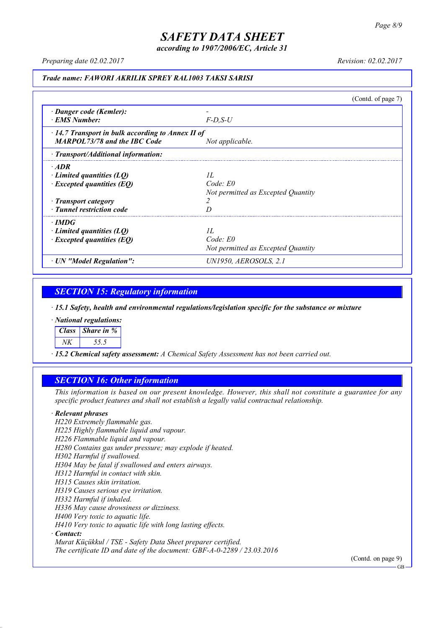*according to 1907/2006/EC, Article 31*

*Preparing date 02.02.2017 Revision: 02.02.2017*

#### *Trade name: FAWORI AKRILIK SPREY RAL1003 TAKSI SARISI*

(Contd. of page 7) *· Danger code (Kemler): - · EMS Number: F-D,S-U · 14.7 Transport in bulk according to Annex II of MARPOL73/78 and the IBC Code Not applicable. · Transport/Additional information: · ADR · Limited quantities (LQ) 1L · Excepted quantities (EQ) Code: E0 Not permitted as Excepted Quantity · Transport category 2 · Tunnel restriction code D · IMDG · Limited quantities (LQ) 1L · Excepted quantities (EQ) Code: E0 Not permitted as Excepted Quantity · UN "Model Regulation": UN1950, AEROSOLS, 2.1*

### *SECTION 15: Regulatory information*

*· 15.1 Safety, health and environmental regulations/legislation specific for the substance or mixture*

*· National regulations:*

*Class Share in %*

*NK 55.5*

*· 15.2 Chemical safety assessment: A Chemical Safety Assessment has not been carried out.*

### *SECTION 16: Other information*

This information is based on our present knowledge. However, this shall not constitute a guarantee for any *specific product features and shall not establish a legally valid contractual relationship.*

#### *· Relevant phrases*

*H220 Extremely flammable gas. H225 Highly flammable liquid and vapour. H226 Flammable liquid and vapour. H280 Contains gas under pressure; may explode if heated. H302 Harmful if swallowed. H304 May be fatal if swallowed and enters airways. H312 Harmful in contact with skin. H315 Causes skin irritation. H319 Causes serious eye irritation. H332 Harmful if inhaled. H336 May cause drowsiness or dizziness. H400 Very toxic to aquatic life. H410 Very toxic to aquatic life with long lasting effects. · Contact: Murat Küçükkul / TSE - Safety Data Sheet preparer certified.*

*The certificate ID and date of the document: GBF-A-0-2289 / 23.03.2016*

(Contd. on page 9)

GB